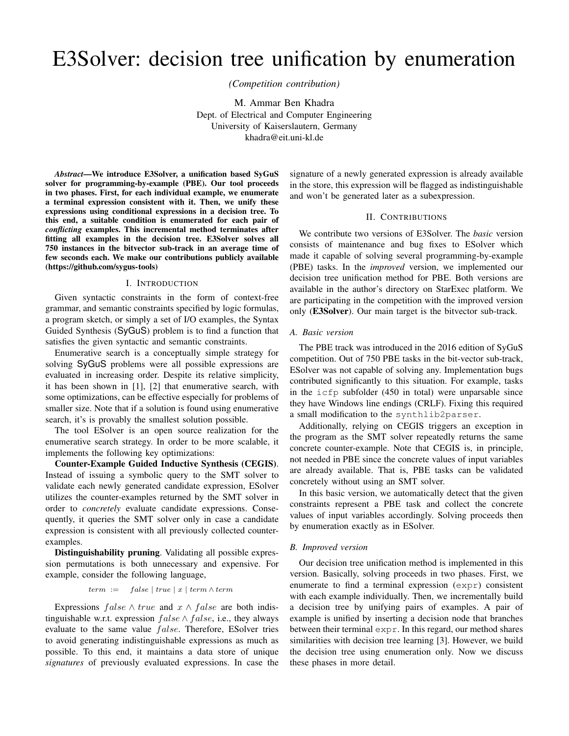# E3Solver: decision tree unification by enumeration

*(Competition contribution)*

M. Ammar Ben Khadra Dept. of Electrical and Computer Engineering University of Kaiserslautern, Germany khadra@eit.uni-kl.de

*Abstract*—We introduce E3Solver, a unification based SyGuS solver for programming-by-example (PBE). Our tool proceeds in two phases. First, for each individual example, we enumerate a terminal expression consistent with it. Then, we unify these expressions using conditional expressions in a decision tree. To this end, a suitable condition is enumerated for each pair of *conflicting* examples. This incremental method terminates after fitting all examples in the decision tree. E3Solver solves all 750 instances in the bitvector sub-track in an average time of few seconds each. We make our contributions publicly available (https://github.com/sygus-tools)

### I. INTRODUCTION

Given syntactic constraints in the form of context-free grammar, and semantic constraints specified by logic formulas, a program sketch, or simply a set of I/O examples, the Syntax Guided Synthesis (SyGuS) problem is to find a function that satisfies the given syntactic and semantic constraints.

Enumerative search is a conceptually simple strategy for solving SyGuS problems were all possible expressions are evaluated in increasing order. Despite its relative simplicity, it has been shown in [1], [2] that enumerative search, with some optimizations, can be effective especially for problems of smaller size. Note that if a solution is found using enumerative search, it's is provably the smallest solution possible.

The tool ESolver is an open source realization for the enumerative search strategy. In order to be more scalable, it implements the following key optimizations:

Counter-Example Guided Inductive Synthesis (CEGIS). Instead of issuing a symbolic query to the SMT solver to validate each newly generated candidate expression, ESolver utilizes the counter-examples returned by the SMT solver in order to *concretely* evaluate candidate expressions. Consequently, it queries the SMT solver only in case a candidate expression is consistent with all previously collected counterexamples.

Distinguishability pruning. Validating all possible expression permutations is both unnecessary and expensive. For example, consider the following language,

$$
term := false | true | x | term \wedge term
$$

Expressions  $false \wedge true$  and  $x \wedge false$  are both indistinguishable w.r.t. expression *f alse ∧ f alse*, i.e., they always evaluate to the same value *f alse*. Therefore, ESolver tries to avoid generating indistinguishable expressions as much as possible. To this end, it maintains a data store of unique *signatures* of previously evaluated expressions. In case the signature of a newly generated expression is already available in the store, this expression will be flagged as indistinguishable and won't be generated later as a subexpression.

# II. CONTRIBUTIONS

We contribute two versions of E3Solver. The *basic* version consists of maintenance and bug fixes to ESolver which made it capable of solving several programming-by-example (PBE) tasks. In the *improved* version, we implemented our decision tree unification method for PBE. Both versions are available in the author's directory on StarExec platform. We are participating in the competition with the improved version only (E3Solver). Our main target is the bitvector sub-track.

## *A. Basic version*

The PBE track was introduced in the 2016 edition of SyGuS competition. Out of 750 PBE tasks in the bit-vector sub-track, ESolver was not capable of solving any. Implementation bugs contributed significantly to this situation. For example, tasks in the icfp subfolder (450 in total) were unparsable since they have Windows line endings (CRLF). Fixing this required a small modification to the synthlib2parser.

Additionally, relying on CEGIS triggers an exception in the program as the SMT solver repeatedly returns the same concrete counter-example. Note that CEGIS is, in principle, not needed in PBE since the concrete values of input variables are already available. That is, PBE tasks can be validated concretely without using an SMT solver.

In this basic version, we automatically detect that the given constraints represent a PBE task and collect the concrete values of input variables accordingly. Solving proceeds then by enumeration exactly as in ESolver.

## *B. Improved version*

Our decision tree unification method is implemented in this version. Basically, solving proceeds in two phases. First, we enumerate to find a terminal expression (expr) consistent with each example individually. Then, we incrementally build a decision tree by unifying pairs of examples. A pair of example is unified by inserting a decision node that branches between their terminal expr. In this regard, our method shares similarities with decision tree learning [3]. However, we build the decision tree using enumeration only. Now we discuss these phases in more detail.